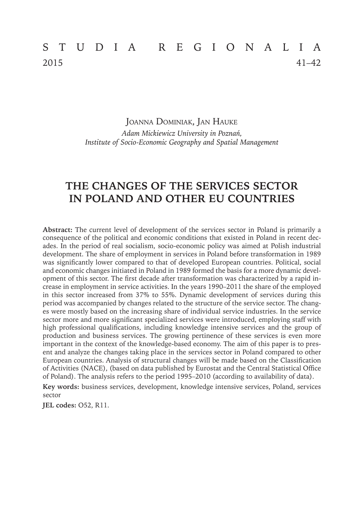# STUDIA REGIONALIA 2015 41–42

Joanna Dominiak, Jan Hauke *Adam Mickiewicz University in Poznań, Institute of Socio-Economic Geography and Spatial Management*

## **THE CHANGES OF THE SERVICES SECTOR IN POLAND AND OTHER EU COUNTRIES**

**Abstract:** The current level of development of the services sector in Poland is primarily a consequence of the political and economic conditions that existed in Poland in recent decades. In the period of real socialism, socio-economic policy was aimed at Polish industrial development. The share of employment in services in Poland before transformation in 1989 was significantly lower compared to that of developed European countries. Political, social and economic changes initiated in Poland in 1989 formed the basis for a more dynamic development of this sector. The first decade after transformation was characterized by a rapid increase in employment in service activities. In the years 1990–2011 the share of the employed in this sector increased from 37% to 55%. Dynamic development of services during this period was accompanied by changes related to the structure of the service sector. The changes were mostly based on the increasing share of individual service industries. In the service sector more and more significant specialized services were introduced, employing staff with high professional qualifications, including knowledge intensive services and the group of production and business services. The growing pertinence of these services is even more important in the context of the knowledge-based economy. The aim of this paper is to present and analyze the changes taking place in the services sector in Poland compared to other European countries. Analysis of structural changes will be made based on the Classification of Activities (NACE), (based on data published by Eurostat and the Central Statistical Office of Poland). The analysis refers to the period 1995–2010 (according to availability of data).

**Key words:** business services, development, knowledge intensive services, Poland, services sector

**JEL codes:** O52, R11.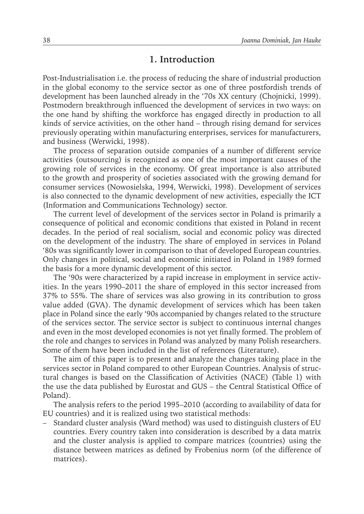#### **1. Introduction**

Post-Industrialisation i.e. the process of reducing the share of industrial production in the global economy to the service sector as one of three postfordish trends of development has been launched already in the '70s XX century (Chojnicki, 1999). Postmodern breakthrough influenced the development of services in two ways: on the one hand by shifting the workforce has engaged directly in production to all kinds of service activities, on the other hand – through rising demand for services previously operating within manufacturing enterprises, services for manufacturers, and business (Werwicki, 1998).

The process of separation outside companies of a number of different service activities (outsourcing) is recognized as one of the most important causes of the growing role of services in the economy. Of great importance is also attributed to the growth and prosperity of societies associated with the growing demand for consumer services (Nowosielska, 1994, Werwicki, 1998). Development of services is also connected to the dynamic development of new activities, especially the ICT (Information and Communications Technology) sector.

The current level of development of the services sector in Poland is primarily a consequence of political and economic conditions that existed in Poland in recent decades. In the period of real socialism, social and economic policy was directed on the development of the industry. The share of employed in services in Poland '80s was significantly lower in comparison to that of developed European countries. Only changes in political, social and economic initiated in Poland in 1989 formed the basis for a more dynamic development of this sector.

The '90s were characterized by a rapid increase in employment in service activities. In the years 1990–2011 the share of employed in this sector increased from 37% to 55%. The share of services was also growing in its contribution to gross value added (GVA). The dynamic development of services which has been taken place in Poland since the early '90s accompanied by changes related to the structure of the services sector. The service sector is subject to continuous internal changes and even in the most developed economies is not yet finally formed. The problem of the role and changes to services in Poland was analyzed by many Polish researchers. Some of them have been included in the list of references (Literature).

The aim of this paper is to present and analyze the changes taking place in the services sector in Poland compared to other European Countries. Analysis of structural changes is based on the Classification of Activities (NACE) (Table 1) with the use the data published by Eurostat and GUS – the Central Statistical Office of Poland).

The analysis refers to the period 1995–2010 (according to availability of data for EU countries) and it is realized using two statistical methods:

– Standard cluster analysis (Ward method) was used to distinguish clusters of EU countries. Every country taken into consideration is described by a data matrix and the cluster analysis is applied to compare matrices (countries) using the distance between matrices as defined by Frobenius norm (of the difference of matrices).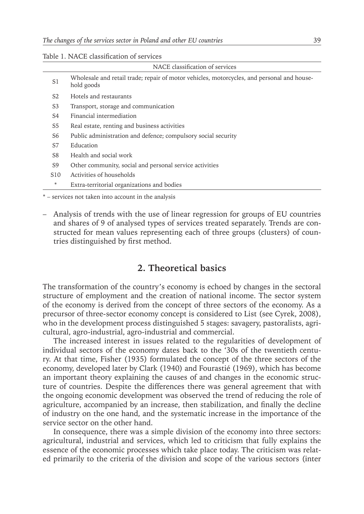| NACE classification of services |                                                                                                          |  |  |  |
|---------------------------------|----------------------------------------------------------------------------------------------------------|--|--|--|
| S1                              | Wholesale and retail trade; repair of motor vehicles, motorcycles, and personal and house-<br>hold goods |  |  |  |
| S <sub>2</sub>                  | Hotels and restaurants                                                                                   |  |  |  |
| S3                              | Transport, storage and communication                                                                     |  |  |  |
| S4                              | Financial intermediation                                                                                 |  |  |  |
| S5                              | Real estate, renting and business activities                                                             |  |  |  |
| S6                              | Public administration and defence; compulsory social security                                            |  |  |  |
| S7                              | Education                                                                                                |  |  |  |
| S8                              | Health and social work                                                                                   |  |  |  |
| S9                              | Other community, social and personal service activities                                                  |  |  |  |
| S10                             | Activities of households                                                                                 |  |  |  |
| *                               | Extra-territorial organizations and bodies                                                               |  |  |  |
|                                 |                                                                                                          |  |  |  |

Table 1. NACE classification of services

\* – services not taken into account in the analysis

– Analysis of trends with the use of linear regression for groups of EU countries and shares of 9 of analysed types of services treated separately. Trends are constructed for mean values representing each of three groups (clusters) of countries distinguished by first method.

### **2. Theoretical basics**

The transformation of the country's economy is echoed by changes in the sectoral structure of employment and the creation of national income. The sector system of the economy is derived from the concept of three sectors of the economy. As a precursor of three-sector economy concept is considered to List (see Cyrek, 2008), who in the development process distinguished 5 stages: savagery, pastoralists, agricultural, agro-industrial, agro-industrial and commercial.

The increased interest in issues related to the regularities of development of individual sectors of the economy dates back to the '30s of the twentieth century. At that time, Fisher (1935) formulated the concept of the three sectors of the economy, developed later by Clark (1940) and Fourastié (1969), which has become an important theory explaining the causes of and changes in the economic structure of countries. Despite the differences there was general agreement that with the ongoing economic development was observed the trend of reducing the role of agriculture, accompanied by an increase, then stabilization, and finally the decline of industry on the one hand, and the systematic increase in the importance of the service sector on the other hand.

In consequence, there was a simple division of the economy into three sectors: agricultural, industrial and services, which led to criticism that fully explains the essence of the economic processes which take place today. The criticism was related primarily to the criteria of the division and scope of the various sectors (inter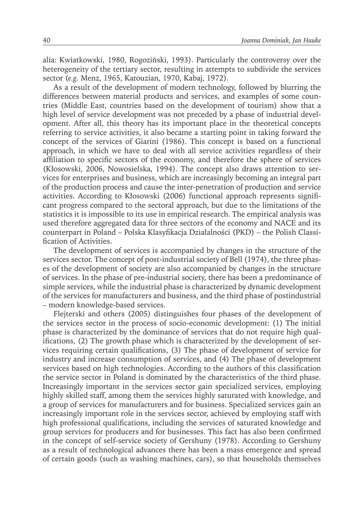alia: Kwiatkowski, 1980, Rogoziński, 1993). Particularly the controversy over the heterogeneity of the tertiary sector, resulting in attempts to subdivide the services sector (*e.g.* Menz, 1965, Katouzian, 1970, Kabaj, 1972).

As a result of the development of modern technology, followed by blurring the differences between material products and services, and examples of some countries (Middle East, countries based on the development of tourism) show that a high level of service development was not preceded by a phase of industrial development. After all, this theory has its important place in the theoretical concepts referring to service activities, it also became a starting point in taking forward the concept of the services of Giarini (1986). This concept is based on a functional approach, in which we have to deal with all service activities regardless of their affiliation to specific sectors of the economy, and therefore the sphere of services (Kłosowski, 2006, Nowosielska, 1994). The concept also draws attention to services for enterprises and business, which are increasingly becoming an integral part of the production process and cause the inter-penetration of production and service activities. According to Kłosowski (2006) functional approach represents significant progress compared to the sectoral approach, but due to the limitations of the statistics it is impossible to its use in empirical research. The empirical analysis was used therefore aggregated data for three sectors of the economy and NACE and its counterpart in Poland – Polska Klasyfikacja Działalności (PKD) – the Polish Classification of Activities.

The development of services is accompanied by changes in the structure of the services sector. The concept of post-industrial society of Bell (1974), the three phases of the development of society are also accompanied by changes in the structure of services. In the phase of pre-industrial society, there has been a predominance of simple services, while the industrial phase is characterized by dynamic development of the services for manufacturers and business, and the third phase of postindustrial – modern knowledge-based services.

Flejterski and others (2005) distinguishes four phases of the development of the services sector in the process of socio-economic development: (1) The initial phase is characterized by the dominance of services that do not require high qualifications, (2) The growth phase which is characterized by the development of services requiring certain qualifications, (3) The phase of development of service for industry and increase consumption of services, and (4) The phase of development services based on high technologies. According to the authors of this classification the service sector in Poland is dominated by the characteristics of the third phase. Increasingly important in the services sector gain specialized services, employing highly skilled staff, among them the services highly saturated with knowledge, and a group of services for manufacturers and for business. Specialized services gain an increasingly important role in the services sector, achieved by employing staff with high professional qualifications, including the services of saturated knowledge and group services for producers and for businesses. This fact has also been confirmed in the concept of self-service society of Gershuny (1978). According to Gershuny as a result of technological advances there has been a mass emergence and spread of certain goods (such as washing machines, cars), so that households themselves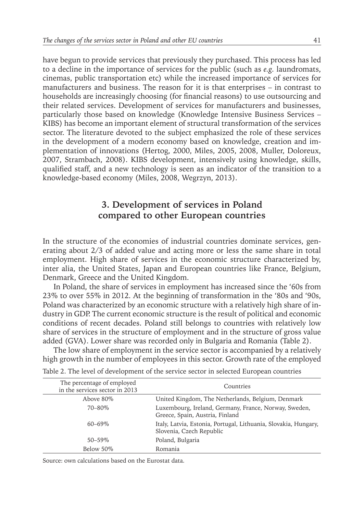have begun to provide services that previously they purchased. This process has led to a decline in the importance of services for the public (such as *e.g.* laundromats, cinemas, public transportation etc) while the increased importance of services for manufacturers and business. The reason for it is that enterprises – in contrast to households are increasingly choosing (for financial reasons) to use outsourcing and their related services. Development of services for manufacturers and businesses, particularly those based on knowledge (Knowledge Intensive Business Services – KIBS) has become an important element of structural transformation of the services sector. The literature devoted to the subject emphasized the role of these services in the development of a modern economy based on knowledge, creation and implementation of innovations (Hertog, 2000, Miles, 2005, 2008, Muller, Doloreux, 2007, Strambach, 2008). KIBS development, intensively using knowledge, skills, qualified staff, and a new technology is seen as an indicator of the transition to a knowledge-based economy (Miles, 2008, Wegrzyn, 2013).

## **3. Development of services in Poland compared to other European countries**

In the structure of the economies of industrial countries dominate services, generating about 2/3 of added value and acting more or less the same share in total employment. High share of services in the economic structure characterized by, inter alia, the United States, Japan and European countries like France, Belgium, Denmark, Greece and the United Kingdom.

In Poland, the share of services in employment has increased since the '60s from 23% to over 55% in 2012. At the beginning of transformation in the '80s and '90s, Poland was characterized by an economic structure with a relatively high share of industry in GDP. The current economic structure is the result of political and economic conditions of recent decades. Poland still belongs to countries with relatively low share of services in the structure of employment and in the structure of gross value added (GVA). Lower share was recorded only in Bulgaria and Romania (Table 2).

The low share of employment in the service sector is accompanied by a relatively high growth in the number of employees in this sector. Growth rate of the employed

| The percentage of employed<br>in the services sector in 2013 | Countries                                                                                   |  |  |
|--------------------------------------------------------------|---------------------------------------------------------------------------------------------|--|--|
| Above 80\%                                                   | United Kingdom, The Netherlands, Belgium, Denmark                                           |  |  |
| 70-80\%                                                      | Luxembourg, Ireland, Germany, France, Norway, Sweden,<br>Greece, Spain, Austria, Finland    |  |  |
| $60 - 69\%$                                                  | Italy, Latvia, Estonia, Portugal, Lithuania, Slovakia, Hungary,<br>Slovenia, Czech Republic |  |  |
| $50 - 59\%$                                                  | Poland, Bulgaria                                                                            |  |  |
| Below 50%                                                    | Romania                                                                                     |  |  |

Table 2. The level of development of the service sector in selected European countries

Source: own calculations based on the Eurostat data.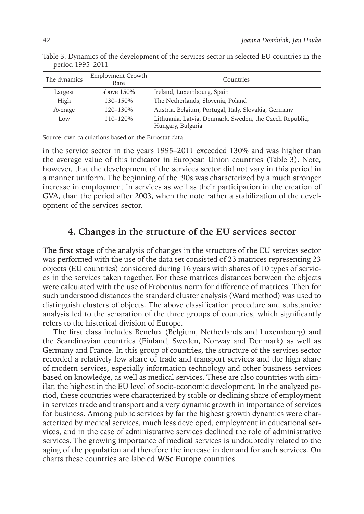| The dynamics | <b>Employment Growth</b><br>Rate | Countries                                               |  |  |
|--------------|----------------------------------|---------------------------------------------------------|--|--|
| Largest      | above $150\%$                    | Ireland, Luxembourg, Spain                              |  |  |
| High         | $130 - 150\%$                    | The Netherlands, Slovenia, Poland                       |  |  |
| Average      | 120-130\%                        | Austria, Belgium, Portugal, Italy, Slovakia, Germany    |  |  |
| Low          | 110-120\%                        | Lithuania, Latvia, Denmark, Sweden, the Czech Republic, |  |  |
|              |                                  | Hungary, Bulgaria                                       |  |  |

Table 3. Dynamics of the development of the services sector in selected EU countries in the period 1995–2011

Source: own calculations based on the Eurostat data

in the service sector in the years 1995–2011 exceeded 130% and was higher than the average value of this indicator in European Union countries (Table 3). Note, however, that the development of the services sector did not vary in this period in a manner uniform. The beginning of the '90s was characterized by a much stronger increase in employment in services as well as their participation in the creation of GVA, than the period after 2003, when the note rather a stabilization of the development of the services sector.

#### **4. Changes in the structure of the EU services sector**

**The first stage** of the analysis of changes in the structure of the EU services sector was performed with the use of the data set consisted of 23 matrices representing 23 objects (EU countries) considered during 16 years with shares of 10 types of services in the services taken together. For these matrices distances between the objects were calculated with the use of Frobenius norm for difference of matrices. Then for such understood distances the standard cluster analysis (Ward method) was used to distinguish clusters of objects. The above classification procedure and substantive analysis led to the separation of the three groups of countries, which significantly refers to the historical division of Europe.

The first class includes Benelux (Belgium, Netherlands and Luxembourg) and the Scandinavian countries (Finland, Sweden, Norway and Denmark) as well as Germany and France. In this group of countries, the structure of the services sector recorded a relatively low share of trade and transport services and the high share of modern services, especially information technology and other business services based on knowledge, as well as medical services. These are also countries with similar, the highest in the EU level of socio-economic development. In the analyzed period, these countries were characterized by stable or declining share of employment in services trade and transport and a very dynamic growth in importance of services for business. Among public services by far the highest growth dynamics were characterized by medical services, much less developed, employment in educational services, and in the case of administrative services declined the role of administrative services. The growing importance of medical services is undoubtedly related to the aging of the population and therefore the increase in demand for such services. On charts these countries are labeled **WSc Europe** countries.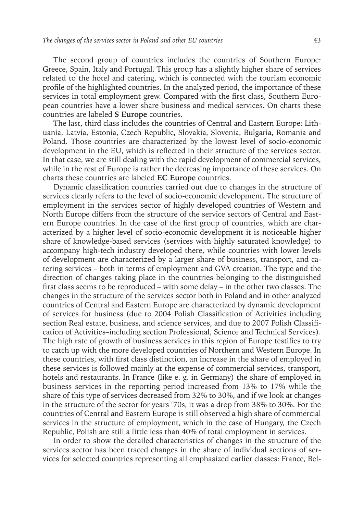The second group of countries includes the countries of Southern Europe: Greece, Spain, Italy and Portugal. This group has a slightly higher share of services related to the hotel and catering, which is connected with the tourism economic profile of the highlighted countries. In the analyzed period, the importance of these services in total employment grew. Compared with the first class, Southern European countries have a lower share business and medical services. On charts these countries are labeled **S Europe** countries.

The last, third class includes the countries of Central and Eastern Europe: Lithuania, Latvia, Estonia, Czech Republic, Slovakia, Slovenia, Bulgaria, Romania and Poland. Those countries are characterized by the lowest level of socio-economic development in the EU, which is reflected in their structure of the services sector. In that case, we are still dealing with the rapid development of commercial services, while in the rest of Europe is rather the decreasing importance of these services. On charts these countries are labeled **EC Europe** countries.

Dynamic classification countries carried out due to changes in the structure of services clearly refers to the level of socio-economic development. The structure of employment in the services sector of highly developed countries of Western and North Europe differs from the structure of the service sectors of Central and Eastern Europe countries. In the case of the first group of countries, which are characterized by a higher level of socio-economic development it is noticeable higher share of knowledge-based services (services with highly saturated knowledge) to accompany high-tech industry developed there, while countries with lower levels of development are characterized by a larger share of business, transport, and catering services – both in terms of employment and GVA creation. The type and the direction of changes taking place in the countries belonging to the distinguished first class seems to be reproduced – with some delay – in the other two classes. The changes in the structure of the services sector both in Poland and in other analyzed countries of Central and Eastern Europe are characterized by dynamic development of services for business (due to 2004 Polish Classification of Activities including section Real estate, business, and science services, and due to 2007 Polish Classification of Activities–including section Professional, Science and Technical Services). The high rate of growth of business services in this region of Europe testifies to try to catch up with the more developed countries of Northern and Western Europe. In these countries, with first class distinction, an increase in the share of employed in these services is followed mainly at the expense of commercial services, transport, hotels and restaurants. In France (like e. g. in Germany) the share of employed in business services in the reporting period increased from 13% to 17% while the share of this type of services decreased from 32% to 30%, and if we look at changes in the structure of the sector for years '70s, it was a drop from 38% to 30%. For the countries of Central and Eastern Europe is still observed a high share of commercial services in the structure of employment, which in the case of Hungary, the Czech Republic, Polish are still a little less than 40% of total employment in services.

In order to show the detailed characteristics of changes in the structure of the services sector has been traced changes in the share of individual sections of services for selected countries representing all emphasized earlier classes: France, Bel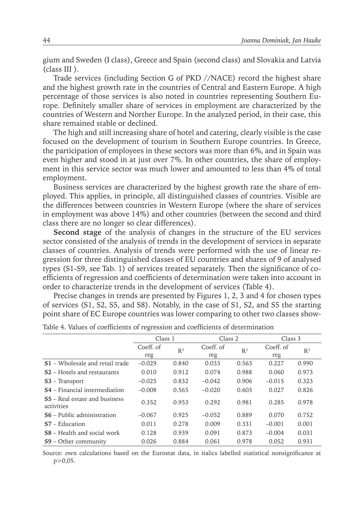gium and Sweden (I class), Greece and Spain (second class) and Slovakia and Latvia (class III ).

Trade services (including Section G of PKD //NACE) record the highest share and the highest growth rate in the countries of Central and Eastern Europe. A high percentage of those services is also noted in countries representing Southern Europe. Definitely smaller share of services in employment are characterized by the countries of Western and Norther Europe. In the analyzed period, in their case, this share remained stable or declined.

The high and still increasing share of hotel and catering, clearly visible is the case focused on the development of tourism in Southern Europe countries. In Greece, the participation of employees in these sectors was more than 6%, and in Spain was even higher and stood in at just over 7%. In other countries, the share of employment in this service sector was much lower and amounted to less than 4% of total employment.

Business services are characterized by the highest growth rate the share of employed. This applies, in principle, all distinguished classes of countries. Visible are the differences between countries in Western Europe (where the share of services in employment was above 14%) and other countries (between the second and third class there are no longer so clear differences).

**Second stage** of the analysis of changes in the structure of the EU services sector consisted of the analysis of trends in the development of services in separate classes of countries. Analysis of trends were performed with the use of linear regression for three distinguished classes of EU countries and shares of 9 of analysed types (S1-S9, see Tab. 1) of services treated separately. Then the significance of coefficients of regression and coefficients of determination were taken into account in order to characterize trends in the development of services (Table 4).

Precise changes in trends are presented by Figures 1, 2, 3 and 4 for chosen types of services (S1, S2, S5, and S8). Notably, in the case of S1, S2, and S5 the starting point share of EC Europe countries was lower comparing to other two classes show-

|                                                    | Class 1   |                | Class 2   |       | Class 3   |       |  |
|----------------------------------------------------|-----------|----------------|-----------|-------|-----------|-------|--|
|                                                    | Coeff. of | R <sup>2</sup> | Coeff. of | $R^2$ | Coeff. of | $R^2$ |  |
|                                                    | reg       |                | reg       |       | reg       |       |  |
| <b>S1</b> – Wholesale and retail trade             | $-0.029$  | 0.840          | 0.033     | 0.563 | 0.227     | 0.990 |  |
| S <sub>2</sub> – Hotels and restaurants            | 0.010     | 0.912          | 0.074     | 0.988 | 0.060     | 0.973 |  |
| $S3$ – Transport                                   | $-0.025$  | 0.832          | $-0.042$  | 0.906 | $-0.015$  | 0.323 |  |
| <b>S4</b> – Financial intermediation               | $-0.008$  | 0.565          | $-0.020$  | 0.603 | 0.027     | 0.826 |  |
| <b>S5</b> – Real estate and business<br>activities | 0.352     | 0.953          | 0.292     | 0.981 | 0.285     | 0.978 |  |
| $S6$ – Public administration                       | $-0.067$  | 0.925          | $-0.052$  | 0.889 | 0.070     | 0.752 |  |
| $S7 - Education$                                   | 0.011     | 0.278          | 0.009     | 0.331 | $-0.001$  | 0.001 |  |
| <b>S8</b> – Health and social work                 | 0.128     | 0.939          | 0.091     | 0.873 | $-0.004$  | 0.031 |  |
| $S9 - Other community$                             | 0.026     | 0.884          | 0.061     | 0.978 | 0.052     | 0.931 |  |

Table 4. Values of coefficients of regression and coefficients of determination

Source: own calculations based on the Eurostat data, in italics labelled statistical nonsignificance at  $p > 0.05$ .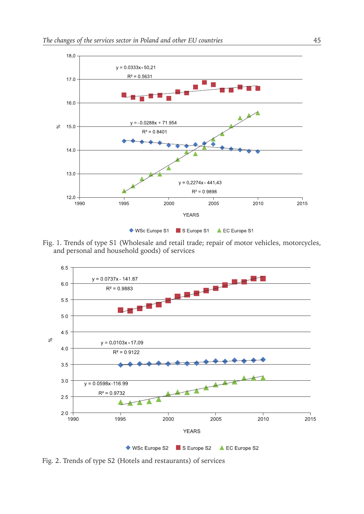

Fig. 1. Trends of type S1 (Wholesale and retail trade; repair of motor vehicles, motorcycles, and personal and household goods) of services



Fig. 2. Trends of type S2 (Hotels and restaurants) of services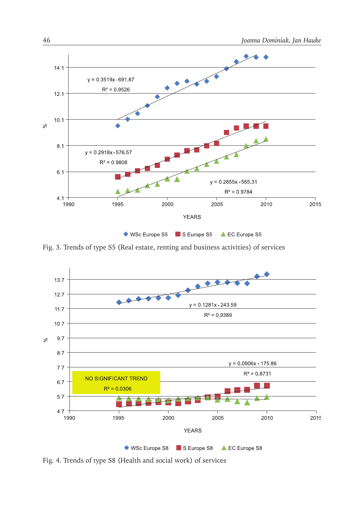![](_page_9_Figure_1.jpeg)

◆ WSc Europe S5 S Europe S5 A EC Europe S5

Fig. 3. Trends of type S5 (Real estate, renting and business activities) of services

![](_page_9_Figure_4.jpeg)

Fig. 4. Trends of type S8 (Health and social work) of services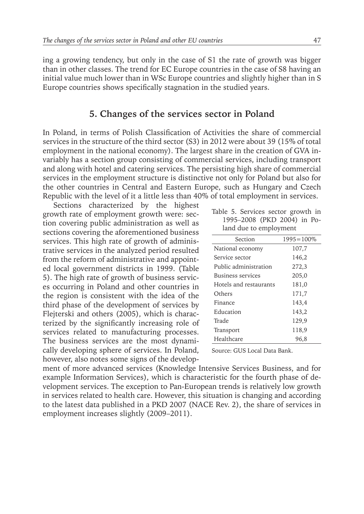ing a growing tendency, but only in the case of S1 the rate of growth was bigger than in other classes. The trend for EC Europe countries in the case of S8 having an initial value much lower than in WSc Europe countries and slightly higher than in S Europe countries shows specifically stagnation in the studied years.

#### **5. Changes of the services sector in Poland**

In Poland, in terms of Polish Classification of Activities the share of commercial services in the structure of the third sector (S3) in 2012 were about 39 (15% of total employment in the national economy). The largest share in the creation of GVA invariably has a section group consisting of commercial services, including transport and along with hotel and catering services. The persisting high share of commercial services in the employment structure is distinctive not only for Poland but also for the other countries in Central and Eastern Europe, such as Hungary and Czech Republic with the level of it a little less than 40% of total employment in services.

Sections characterized by the highest growth rate of employment growth were: section covering public administration as well as sections covering the aforementioned business services. This high rate of growth of administrative services in the analyzed period resulted from the reform of administrative and appointed local government districts in 1999. (Table 5). The high rate of growth of business services occurring in Poland and other countries in the region is consistent with the idea of the third phase of the development of services by Flejterski and others (2005), which is characterized by the significantly increasing role of services related to manufacturing processes. The business services are the most dynamically developing sphere of services. In Poland, however, also notes some signs of the develop-

|  | Table 5. Services sector growth in |  |  |  |  |
|--|------------------------------------|--|--|--|--|
|  | 1995-2008 (PKD 2004) in Po-        |  |  |  |  |
|  | land due to employment             |  |  |  |  |

| Section                | $1995 = 100\%$ |
|------------------------|----------------|
| National economy       | 107,7          |
| Service sector         | 146,2          |
| Public administration  | 272,3          |
| Business services      | 205,0          |
| Hotels and restaurants | 181,0          |
| Others                 | 171,7          |
| Finance                | 143,4          |
| Education              | 143,2          |
| Trade                  | 129,9          |
| Transport              | 118,9          |
| Healthcare             | 96.8           |

Source: GUS Local Data Bank.

ment of more advanced services (Knowledge Intensive Services Business, and for example Information Services), which is characteristic for the fourth phase of development services. The exception to Pan-European trends is relatively low growth in services related to health care. However, this situation is changing and according to the latest data published in a PKD 2007 (NACE Rev. 2), the share of services in employment increases slightly (2009–2011).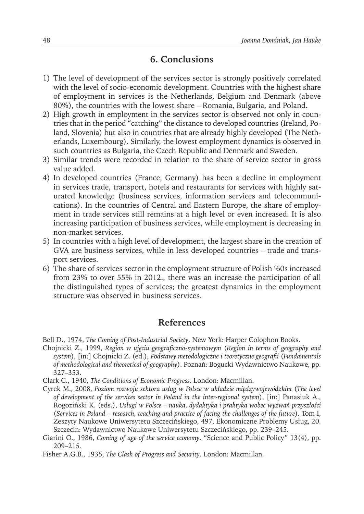### **6. Conclusions**

- 1) The level of development of the services sector is strongly positively correlated with the level of socio-economic development. Countries with the highest share of employment in services is the Netherlands, Belgium and Denmark (above 80%), the countries with the lowest share – Romania, Bulgaria, and Poland.
- 2) High growth in employment in the services sector is observed not only in countries that in the period "catching" the distance to developed countries (Ireland, Poland, Slovenia) but also in countries that are already highly developed (The Netherlands, Luxembourg). Similarly, the lowest employment dynamics is observed in such countries as Bulgaria, the Czech Republic and Denmark and Sweden.
- 3) Similar trends were recorded in relation to the share of service sector in gross value added.
- 4) In developed countries (France, Germany) has been a decline in employment in services trade, transport, hotels and restaurants for services with highly saturated knowledge (business services, information services and telecommunications). In the countries of Central and Eastern Europe, the share of employment in trade services still remains at a high level or even increased. It is also increasing participation of business services, while employment is decreasing in non-market services.
- 5) In countries with a high level of development, the largest share in the creation of GVA are business services, while in less developed countries – trade and transport services.
- 6) The share of services sector in the employment structure of Polish '60s increased from 23% to over 55% in 2012., there was an increase the participation of all the distinguished types of services; the greatest dynamics in the employment structure was observed in business services.

#### **References**

Bell D., 1974, *The Coming of Post-Industrial Society*. New York: Harper Colophon Books.

- Chojnicki Z., 1999, *Region w ujęciu geograficzno-systemowym* (*Region in terms of geography and system*), [in:] Chojnicki Z. (ed.), *Podstawy metodologiczne i teoretyczne geografii* (*Fundamentals of methodological and theoretical of geography*). Poznań: Bogucki Wydawnictwo Naukowe, pp. 327–353.
- Clark C., 1940, *The Conditions of Economic Progress.* London: Macmillan.
- Cyrek M., 2008, *Poziom rozwoju sektora usług w Polsce w układzie międzywojewódzkim* (*The level of development of the services sector in Poland in the inter-regional system*), [in:] Panasiuk A., Rogoziński K. (eds.), *Usługi w Polsce – nauka, dydaktyka i praktyka wobec wyzwań przyszłości*  (*Services in Poland – research, teaching and practice of facing the challenges of the future*)*.* Tom I, Zeszyty Naukowe Uniwersytetu Szczecińskiego, 497, Ekonomiczne Problemy Usług, 20. Szczecin: Wydawnictwo Naukowe Uniwersytetu Szczecińskiego, pp. 239–245.
- Giarini O., 1986, *Coming of age of the service economy*. "Science and Public Policy" 13(4), pp. 209–215.
- Fisher A.G.B., 1935, *The Clash of Progress and Security*. London: Macmillan.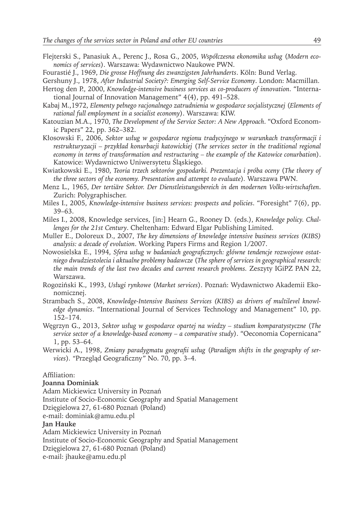- Flejterski S., Panasiuk A., Perenc J., Rosa G., 2005, *Współczesna ekonomika usług* (*Modern economics of services*). Warszawa: Wydawnictwo Naukowe PWN.
- Fourastié J., 1969, *Die grosse Hoffnung des zwanzigsten Jahrhunderts*. Köln: Bund Verlag.
- Gershuny J., 1978, *After Industrial Society?: Emerging Self-Service Economy*. London: Macmillan.
- Hertog den P., 2000, *Knowledge-intensive business services as co-producers of innovation*. "International Journal of Innovation Management" 4(4), pp. 491–528.
- Kabaj M.,1972, *Elementy pełnego racjonalnego zatrudnienia w gospodarce socjalistycznej* (*Elements of rational full employment in a socialist economy*). Warszawa: KIW.
- Katouzian M.A., 1970, *The Development of the Service Sector: A New Approach*. "Oxford Economic Papers" 22, pp. 362–382.
- Kłosowski F., 2006, *Sektor usług w gospodarce regionu tradycyjnego w warunkach transformacji i restrukturyzacji – przykład konurbacji katowickiej* (*The services sector in the traditional regional economy in terms of transformation and restructuring – the example of the Katowice conurbation*). Katowice: Wydawnictwo Uniwersytetu Śląskiego.
- Kwiatkowski E., 1980, *Teoria trzech sektorów gospodarki. Prezentacja i próba oceny* (*The theory of the three sectors of the economy. Presentation and attempt to evaluate*)*.* Warszawa PWN.
- Menz L., 1965, *Der tertiäre Sektor. Der Dienstleistungsbereich in den modernen Volks-wirtschaften*. Zurich: Polygraphischer.
- Miles I., 2005, *Knowledge-intensive business services: prospects and policies*. "Foresight" 7(6), pp. 39–63.
- Miles I., 2008, Knowledge services, [in:] Hearn G., Rooney D. (eds.), *Knowledge policy. Challenges for the 21st Century*. Cheltenham: Edward Elgar Publishing Limited.
- Muller E., Doloreux D., 2007, *The key dimensions of knowledge intensive business services (KIBS) analysis: a decade of evolution*. Working Papers Firms and Region 1/2007.
- Nowosielska E., 1994, *Sfera usług w badaniach geograficznych: główne tendencje rozwojowe ostatniego dwudziestolecia i aktualne problemy badawcze* (*The sphere of services in geographical research: the main trends of the last two decades and current research problems. Zeszyty IGiPZ PAN 22,* Warszawa.
- Rogoziński K., 1993, *Usługi rynkowe* (*Market services*). Poznań: Wydawnictwo Akademii Ekonomicznej.
- Strambach S., 2008, *Knowledge-Intensive Business Services (KIBS) as drivers of multilevel knowledge dynamics*. "International Journal of Services Technology and Management" 10, pp. 152–174.
- Węgrzyn G., 2013, *Sektor usług w gospodarce opartej na wiedzy studium komparatystyczne* (*The service sector of a knowledge-based economy – a comparative study*). "Oeconomia Copernicana" 1, pp. 53–64.
- Werwicki A., 1998, *Zmiany paradygmatu geografii usług* (*Paradigm shifts in the geography of services*)*. "*Przegląd Geograficzny" No. 70, pp. 3–4.

Affiliation:

#### **Joanna Dominiak**

Adam Mickiewicz University in Poznań

Institute of Socio-Economic Geography and Spatial Management

Dzięgielowa 27, 61-680 Poznań (Poland)

e-mail: dominiak@amu.edu.pl

#### **Jan Hauke**

Adam Mickiewicz University in Poznań

Institute of Socio-Economic Geography and Spatial Management

Dzięgielowa 27, 61-680 Poznań (Poland)

e-mail: jhauke@amu.edu.pl